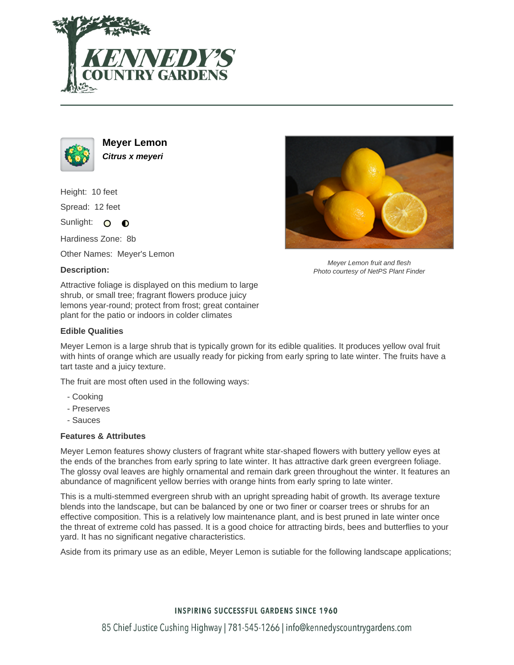



**Meyer Lemon Citrus x meyeri**

Height: 10 feet Spread: 12 feet

Sunlight: O  $\bullet$ 

Hardiness Zone: 8b

Other Names: Meyer's Lemon

# **Description:**

Attractive foliage is displayed on this medium to large shrub, or small tree; fragrant flowers produce juicy lemons year-round; protect from frost; great container plant for the patio or indoors in colder climates

#### **Edible Qualities**

Meyer Lemon is a large shrub that is typically grown for its edible qualities. It produces yellow oval fruit with hints of orange which are usually ready for picking from early spring to late winter. The fruits have a tart taste and a juicy texture.

The fruit are most often used in the following ways:

- Cooking
- Preserves
- Sauces

#### **Features & Attributes**

Meyer Lemon features showy clusters of fragrant white star-shaped flowers with buttery yellow eyes at the ends of the branches from early spring to late winter. It has attractive dark green evergreen foliage. The glossy oval leaves are highly ornamental and remain dark green throughout the winter. It features an abundance of magnificent yellow berries with orange hints from early spring to late winter.

This is a multi-stemmed evergreen shrub with an upright spreading habit of growth. Its average texture blends into the landscape, but can be balanced by one or two finer or coarser trees or shrubs for an effective composition. This is a relatively low maintenance plant, and is best pruned in late winter once the threat of extreme cold has passed. It is a good choice for attracting birds, bees and butterflies to your yard. It has no significant negative characteristics.

Aside from its primary use as an edible, Meyer Lemon is sutiable for the following landscape applications;



Meyer Lemon fruit and flesh Photo courtesy of NetPS Plant Finder

# **INSPIRING SUCCESSFUL GARDENS SINCE 1960**

85 Chief Justice Cushing Highway | 781-545-1266 | info@kennedyscountrygardens.com